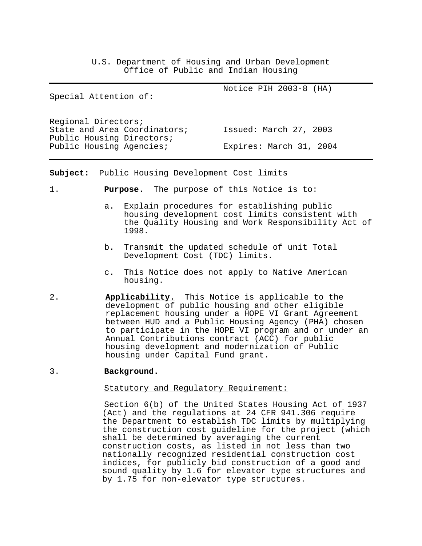U.S. Department of Housing and Urban Development Office of Public and Indian Housing

| Special Attention of:                                 | Notice PIH 2003-8 (HA)  |
|-------------------------------------------------------|-------------------------|
| Reqional Directors;<br>State and Area Coordinators;   | Issued: March 27, 2003  |
| Public Housing Directors;<br>Public Housing Agencies; | Expires: March 31, 2004 |

**Subject:** Public Housing Development Cost limits

- 1. **Purpose.** The purpose of this Notice is to:
	- a. Explain procedures for establishing public housing development cost limits consistent with the Quality Housing and Work Responsibility Act of 1998.
	- b. Transmit the updated schedule of unit Total Development Cost (TDC) limits.
	- c. This Notice does not apply to Native American housing.
- 2. **Applicability.** This Notice is applicable to the development of public housing and other eligible replacement housing under a HOPE VI Grant Agreement between HUD and a Public Housing Agency (PHA) chosen to participate in the HOPE VI program and or under an Annual Contributions contract (ACC) for public housing development and modernization of Public housing under Capital Fund grant.
- 3. **Background.**

# Statutory and Regulatory Requirement:

 Section 6(b) of the United States Housing Act of 1937 (Act) and the regulations at 24 CFR 941.306 require the Department to establish TDC limits by multiplying the construction cost guideline for the project (which shall be determined by averaging the current construction costs, as listed in not less than two nationally recognized residential construction cost indices, for publicly bid construction of a good and sound quality by 1.6 for elevator type structures and by 1.75 for non-elevator type structures.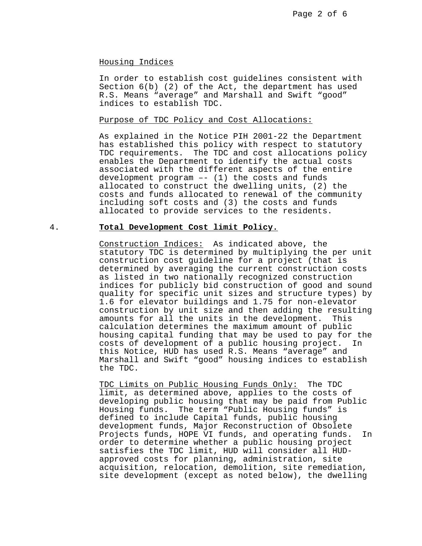### Housing Indices

 In order to establish cost guidelines consistent with Section 6(b) (2) of the Act, the department has used R.S. Means "average" and Marshall and Swift "good" indices to establish TDC.

# Purpose of TDC Policy and Cost Allocations:

 As explained in the Notice PIH 2001-22 the Department has established this policy with respect to statutory TDC requirements. The TDC and cost allocations policy enables the Department to identify the actual costs associated with the different aspects of the entire development program –- (1) the costs and funds allocated to construct the dwelling units, (2) the costs and funds allocated to renewal of the community including soft costs and (3) the costs and funds allocated to provide services to the residents.

### 4. **Total Development Cost limit Policy.**

Construction Indices: As indicated above, the statutory TDC is determined by multiplying the per unit construction cost guideline for a project (that is determined by averaging the current construction costs as listed in two nationally recognized construction indices for publicly bid construction of good and sound quality for specific unit sizes and structure types) by 1.6 for elevator buildings and 1.75 for non-elevator construction by unit size and then adding the resulting amounts for all the units in the development. This calculation determines the maximum amount of public housing capital funding that may be used to pay for the costs of development of a public housing project. In this Notice, HUD has used R.S. Means "average" and Marshall and Swift "good" housing indices to establish the TDC.

 TDC Limits on Public Housing Funds Only: The TDC limit, as determined above, applies to the costs of developing public housing that may be paid from Public Housing funds. The term "Public Housing funds" is defined to include Capital funds, public housing development funds, Major Reconstruction of Obsolete Projects funds, HOPE VI funds, and operating funds. In order to determine whether a public housing project satisfies the TDC limit, HUD will consider all HUDapproved costs for planning, administration, site acquisition, relocation, demolition, site remediation, site development (except as noted below), the dwelling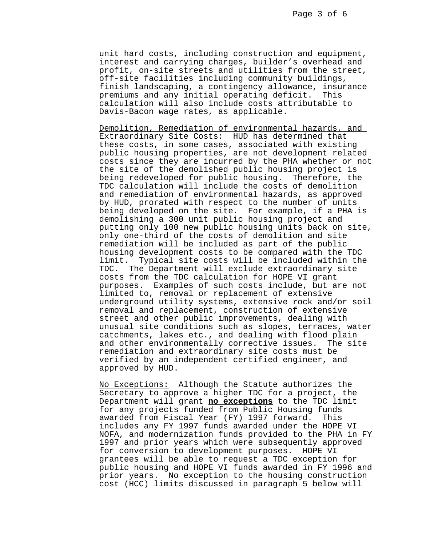unit hard costs, including construction and equipment, interest and carrying charges, builder's overhead and profit, on-site streets and utilities from the street, off-site facilities including community buildings, finish landscaping, a contingency allowance, insurance premiums and any initial operating deficit. This calculation will also include costs attributable to Davis-Bacon wage rates, as applicable.

 Demolition, Remediation of environmental hazards, and Extraordinary Site Costs: HUD has determined that these costs, in some cases, associated with existing public housing properties, are not development related costs since they are incurred by the PHA whether or not the site of the demolished public housing project is being redeveloped for public housing. Therefore, the TDC calculation will include the costs of demolition and remediation of environmental hazards, as approved by HUD, prorated with respect to the number of units being developed on the site. For example, if a PHA is demolishing a 300 unit public housing project and putting only 100 new public housing units back on site, only one-third of the costs of demolition and site remediation will be included as part of the public housing development costs to be compared with the TDC limit. Typical site costs will be included within the TDC. The Department will exclude extraordinary site costs from the TDC calculation for HOPE VI grant purposes. Examples of such costs include, but are not limited to, removal or replacement of extensive underground utility systems, extensive rock and/or soil removal and replacement, construction of extensive street and other public improvements, dealing with unusual site conditions such as slopes, terraces, water catchments, lakes etc., and dealing with flood plain and other environmentally corrective issues. The site remediation and extraordinary site costs must be verified by an independent certified engineer, and approved by HUD.

 No Exceptions: Although the Statute authorizes the Secretary to approve a higher TDC for a project, the Department will grant **no exceptions** to the TDC limit for any projects funded from Public Housing funds awarded from Fiscal Year (FY) 1997 forward. This includes any FY 1997 funds awarded under the HOPE VI NOFA, and modernization funds provided to the PHA in FY 1997 and prior years which were subsequently approved for conversion to development purposes. HOPE VI grantees will be able to request a TDC exception for public housing and HOPE VI funds awarded in FY 1996 and prior years. No exception to the housing construction cost (HCC) limits discussed in paragraph 5 below will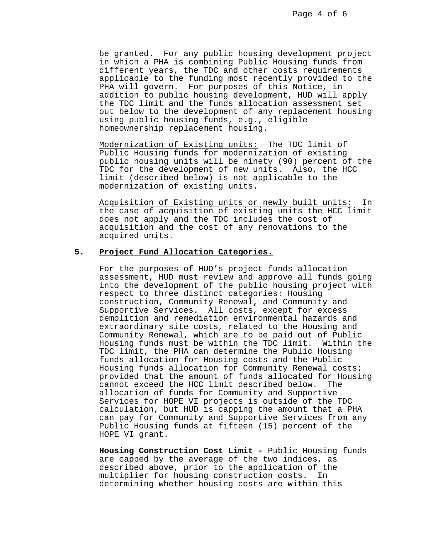be granted. For any public housing development project in which a PHA is combining Public Housing funds from different years, the TDC and other costs requirements applicable to the funding most recently provided to the PHA will govern. For purposes of this Notice, in addition to public housing development, HUD will apply the TDC limit and the funds allocation assessment set out below to the development of any replacement housing using public housing funds, e.g., eligible homeownership replacement housing.

 Modernization of Existing units: The TDC limit of Public Housing funds for modernization of existing public housing units will be ninety (90) percent of the TDC for the development of new units. Also, the HCC limit (described below) is not applicable to the modernization of existing units.

 Acquisition of Existing units or newly built units: In the case of acquisition of existing units the HCC limit does not apply and the TDC includes the cost of acquisition and the cost of any renovations to the acquired units.

#### **5. Project Fund Allocation Categories.**

 For the purposes of HUD's project funds allocation assessment, HUD must review and approve all funds going into the development of the public housing project with respect to three distinct categories: Housing construction, Community Renewal, and Community and Supportive Services. All costs, except for excess demolition and remediation environmental hazards and extraordinary site costs, related to the Housing and Community Renewal, which are to be paid out of Public Housing funds must be within the TDC limit. Within the TDC limit, the PHA can determine the Public Housing funds allocation for Housing costs and the Public Housing funds allocation for Community Renewal costs; provided that the amount of funds allocated for Housing cannot exceed the HCC limit described below. The allocation of funds for Community and Supportive Services for HOPE VI projects is outside of the TDC calculation, but HUD is capping the amount that a PHA can pay for Community and Supportive Services from any Public Housing funds at fifteen (15) percent of the HOPE VI grant.

**Housing Construction Cost Limit -** Public Housing funds are capped by the average of the two indices, as described above, prior to the application of the multiplier for housing construction costs. In determining whether housing costs are within this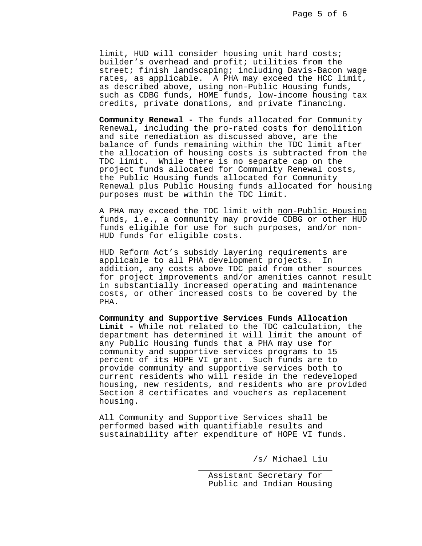limit, HUD will consider housing unit hard costs; builder's overhead and profit; utilities from the street; finish landscaping; including Davis-Bacon wage rates, as applicable. A PHA may exceed the HCC limit, as described above, using non-Public Housing funds, such as CDBG funds, HOME funds, low-income housing tax credits, private donations, and private financing.

**Community Renewal -** The funds allocated for Community Renewal, including the pro-rated costs for demolition and site remediation as discussed above, are the balance of funds remaining within the TDC limit after the allocation of housing costs is subtracted from the TDC limit. While there is no separate cap on the project funds allocated for Community Renewal costs, the Public Housing funds allocated for Community Renewal plus Public Housing funds allocated for housing purposes must be within the TDC limit.

A PHA may exceed the TDC limit with non-Public Housing funds, i.e., a community may provide CDBG or other HUD funds eligible for use for such purposes, and/or non-HUD funds for eligible costs.

 HUD Reform Act's subsidy layering requirements are applicable to all PHA development projects. In addition, any costs above TDC paid from other sources for project improvements and/or amenities cannot result in substantially increased operating and maintenance costs, or other increased costs to be covered by the PHA.

**Community and Supportive Services Funds Allocation Limit -** While not related to the TDC calculation, the department has determined it will limit the amount of any Public Housing funds that a PHA may use for community and supportive services programs to 15 percent of its HOPE VI grant. Such funds are to provide community and supportive services both to current residents who will reside in the redeveloped housing, new residents, and residents who are provided Section 8 certificates and vouchers as replacement housing.

 All Community and Supportive Services shall be performed based with quantifiable results and sustainability after expenditure of HOPE VI funds.

 $\frac{1}{\sqrt{2\pi}}$  ,  $\frac{1}{\sqrt{2\pi}}$  ,  $\frac{1}{\sqrt{2\pi}}$  ,  $\frac{1}{\sqrt{2\pi}}$  ,  $\frac{1}{\sqrt{2\pi}}$  ,  $\frac{1}{\sqrt{2\pi}}$  ,  $\frac{1}{\sqrt{2\pi}}$  ,  $\frac{1}{\sqrt{2\pi}}$  ,  $\frac{1}{\sqrt{2\pi}}$  ,  $\frac{1}{\sqrt{2\pi}}$  ,  $\frac{1}{\sqrt{2\pi}}$  ,  $\frac{1}{\sqrt{2\pi}}$  ,  $\frac{1}{\sqrt{2\pi}}$  ,

/s/ Michael Liu

 Assistant Secretary for Public and Indian Housing